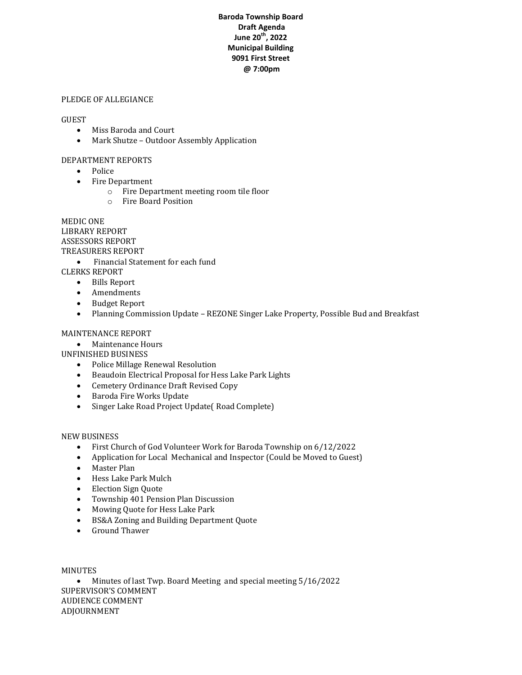### **Baroda Township Board Draft Agenda June 20th, 2022 Municipal Building 9091 First Street @ 7:00pm**

#### PLEDGE OF ALLEGIANCE

#### **GUEST**

- Miss Baroda and Court
- Mark Shutze Outdoor Assembly Application

#### DEPARTMENT REPORTS

- Police
- Fire Department
	- o Fire Department meeting room tile floor
	- o Fire Board Position

MEDIC ONE LIBRARY REPORT ASSESSORS REPORT TREASURERS REPORT

• Financial Statement for each fund

CLERKS REPORT

- Bills Report
- Amendments
- Budget Report
- Planning Commission Update REZONE Singer Lake Property, Possible Bud and Breakfast

#### MAINTENANCE REPORT

• Maintenance Hours

UNFINISHED BUSINESS

- Police Millage Renewal Resolution
- Beaudoin Electrical Proposal for Hess Lake Park Lights
- Cemetery Ordinance Draft Revised Copy
- Baroda Fire Works Update
- Singer Lake Road Project Update( Road Complete)

#### NEW BUSINESS

- First Church of God Volunteer Work for Baroda Township on 6/12/2022
- Application for Local Mechanical and Inspector (Could be Moved to Guest)
- Master Plan
- Hess Lake Park Mulch
- Election Sign Quote
- Township 401 Pension Plan Discussion
- Mowing Quote for Hess Lake Park
- BS&A Zoning and Building Department Quote
- Ground Thawer

MINUTES

 Minutes of last Twp. Board Meeting and special meeting 5/16/2022 SUPERVISOR'S COMMENT AUDIENCE COMMENT ADJOURNMENT